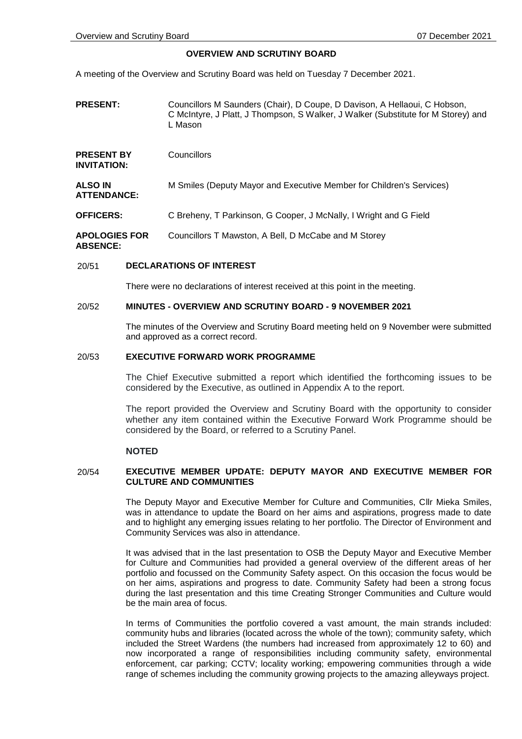# **OVERVIEW AND SCRUTINY BOARD**

A meeting of the Overview and Scrutiny Board was held on Tuesday 7 December 2021.

**PRESENT:** Councillors M Saunders (Chair), D Coupe, D Davison, A Hellaoui, C Hobson, C McIntyre, J Platt, J Thompson, S Walker, J Walker (Substitute for M Storey) and L Mason

| <b>Councillors</b>                                                   |
|----------------------------------------------------------------------|
| M Smiles (Deputy Mayor and Executive Member for Children's Services) |
| C Breheny, T Parkinson, G Cooper, J McNally, I Wright and G Field    |
|                                                                      |

#### **APOLOGIES FOR ABSENCE:** Councillors T Mawston, A Bell, D McCabe and M Storey

### 20/51 **DECLARATIONS OF INTEREST**

There were no declarations of interest received at this point in the meeting.

### 20/52 **MINUTES - OVERVIEW AND SCRUTINY BOARD - 9 NOVEMBER 2021**

The minutes of the Overview and Scrutiny Board meeting held on 9 November were submitted and approved as a correct record.

### 20/53 **EXECUTIVE FORWARD WORK PROGRAMME**

The Chief Executive submitted a report which identified the forthcoming issues to be considered by the Executive, as outlined in Appendix A to the report.

The report provided the Overview and Scrutiny Board with the opportunity to consider whether any item contained within the Executive Forward Work Programme should be considered by the Board, or referred to a Scrutiny Panel.

## **NOTED**

## 20/54 **EXECUTIVE MEMBER UPDATE: DEPUTY MAYOR AND EXECUTIVE MEMBER FOR CULTURE AND COMMUNITIES**

The Deputy Mayor and Executive Member for Culture and Communities, Cllr Mieka Smiles, was in attendance to update the Board on her aims and aspirations, progress made to date and to highlight any emerging issues relating to her portfolio. The Director of Environment and Community Services was also in attendance.

It was advised that in the last presentation to OSB the Deputy Mayor and Executive Member for Culture and Communities had provided a general overview of the different areas of her portfolio and focussed on the Community Safety aspect. On this occasion the focus would be on her aims, aspirations and progress to date. Community Safety had been a strong focus during the last presentation and this time Creating Stronger Communities and Culture would be the main area of focus.

In terms of Communities the portfolio covered a vast amount, the main strands included: community hubs and libraries (located across the whole of the town); community safety, which included the Street Wardens (the numbers had increased from approximately 12 to 60) and now incorporated a range of responsibilities including community safety, environmental enforcement, car parking; CCTV; locality working; empowering communities through a wide range of schemes including the community growing projects to the amazing alleyways project.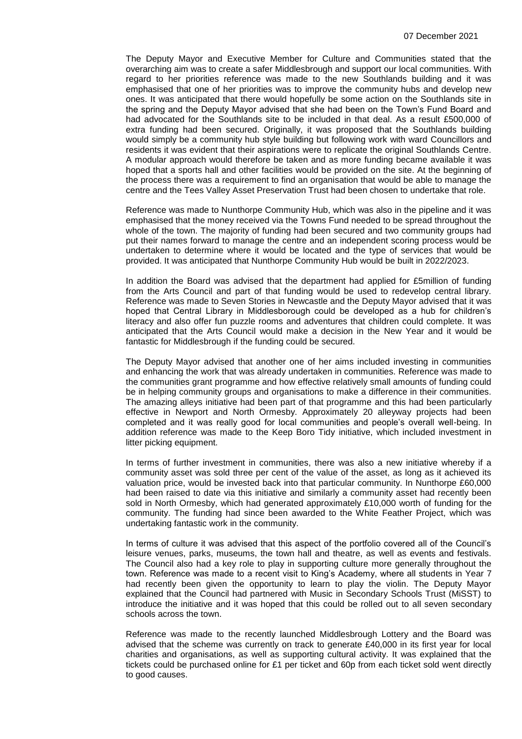The Deputy Mayor and Executive Member for Culture and Communities stated that the overarching aim was to create a safer Middlesbrough and support our local communities. With regard to her priorities reference was made to the new Southlands building and it was emphasised that one of her priorities was to improve the community hubs and develop new ones. It was anticipated that there would hopefully be some action on the Southlands site in the spring and the Deputy Mayor advised that she had been on the Town's Fund Board and had advocated for the Southlands site to be included in that deal. As a result £500,000 of extra funding had been secured. Originally, it was proposed that the Southlands building would simply be a community hub style building but following work with ward Councillors and residents it was evident that their aspirations were to replicate the original Southlands Centre. A modular approach would therefore be taken and as more funding became available it was hoped that a sports hall and other facilities would be provided on the site. At the beginning of the process there was a requirement to find an organisation that would be able to manage the centre and the Tees Valley Asset Preservation Trust had been chosen to undertake that role.

Reference was made to Nunthorpe Community Hub, which was also in the pipeline and it was emphasised that the money received via the Towns Fund needed to be spread throughout the whole of the town. The majority of funding had been secured and two community groups had put their names forward to manage the centre and an independent scoring process would be undertaken to determine where it would be located and the type of services that would be provided. It was anticipated that Nunthorpe Community Hub would be built in 2022/2023.

In addition the Board was advised that the department had applied for £5million of funding from the Arts Council and part of that funding would be used to redevelop central library. Reference was made to Seven Stories in Newcastle and the Deputy Mayor advised that it was hoped that Central Library in Middlesborough could be developed as a hub for children's literacy and also offer fun puzzle rooms and adventures that children could complete. It was anticipated that the Arts Council would make a decision in the New Year and it would be fantastic for Middlesbrough if the funding could be secured.

The Deputy Mayor advised that another one of her aims included investing in communities and enhancing the work that was already undertaken in communities. Reference was made to the communities grant programme and how effective relatively small amounts of funding could be in helping community groups and organisations to make a difference in their communities. The amazing alleys initiative had been part of that programme and this had been particularly effective in Newport and North Ormesby. Approximately 20 alleyway projects had been completed and it was really good for local communities and people's overall well-being. In addition reference was made to the Keep Boro Tidy initiative, which included investment in litter picking equipment.

In terms of further investment in communities, there was also a new initiative whereby if a community asset was sold three per cent of the value of the asset, as long as it achieved its valuation price, would be invested back into that particular community. In Nunthorpe £60,000 had been raised to date via this initiative and similarly a community asset had recently been sold in North Ormesby, which had generated approximately £10,000 worth of funding for the community. The funding had since been awarded to the White Feather Project, which was undertaking fantastic work in the community.

In terms of culture it was advised that this aspect of the portfolio covered all of the Council's leisure venues, parks, museums, the town hall and theatre, as well as events and festivals. The Council also had a key role to play in supporting culture more generally throughout the town. Reference was made to a recent visit to King's Academy, where all students in Year 7 had recently been given the opportunity to learn to play the violin. The Deputy Mayor explained that the Council had partnered with Music in Secondary Schools Trust (MiSST) to introduce the initiative and it was hoped that this could be rolled out to all seven secondary schools across the town.

Reference was made to the recently launched Middlesbrough Lottery and the Board was advised that the scheme was currently on track to generate £40,000 in its first year for local charities and organisations, as well as supporting cultural activity. It was explained that the tickets could be purchased online for £1 per ticket and 60p from each ticket sold went directly to good causes.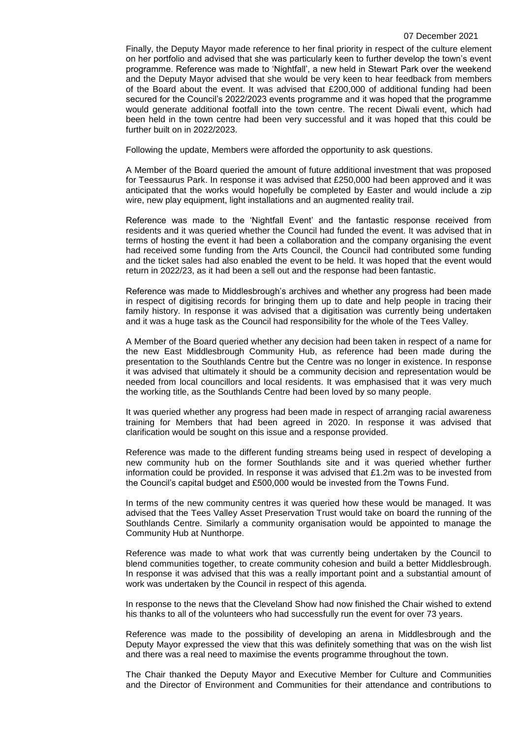Finally, the Deputy Mayor made reference to her final priority in respect of the culture element on her portfolio and advised that she was particularly keen to further develop the town's event programme. Reference was made to 'Nightfall', a new held in Stewart Park over the weekend and the Deputy Mayor advised that she would be very keen to hear feedback from members of the Board about the event. It was advised that £200,000 of additional funding had been secured for the Council's 2022/2023 events programme and it was hoped that the programme would generate additional footfall into the town centre. The recent Diwali event, which had been held in the town centre had been very successful and it was hoped that this could be further built on in 2022/2023.

Following the update, Members were afforded the opportunity to ask questions.

A Member of the Board queried the amount of future additional investment that was proposed for Teessaurus Park. In response it was advised that £250,000 had been approved and it was anticipated that the works would hopefully be completed by Easter and would include a zip wire, new play equipment, light installations and an augmented reality trail.

Reference was made to the 'Nightfall Event' and the fantastic response received from residents and it was queried whether the Council had funded the event. It was advised that in terms of hosting the event it had been a collaboration and the company organising the event had received some funding from the Arts Council, the Council had contributed some funding and the ticket sales had also enabled the event to be held. It was hoped that the event would return in 2022/23, as it had been a sell out and the response had been fantastic.

Reference was made to Middlesbrough's archives and whether any progress had been made in respect of digitising records for bringing them up to date and help people in tracing their family history. In response it was advised that a digitisation was currently being undertaken and it was a huge task as the Council had responsibility for the whole of the Tees Valley.

A Member of the Board queried whether any decision had been taken in respect of a name for the new East Middlesbrough Community Hub, as reference had been made during the presentation to the Southlands Centre but the Centre was no longer in existence. In response it was advised that ultimately it should be a community decision and representation would be needed from local councillors and local residents. It was emphasised that it was very much the working title, as the Southlands Centre had been loved by so many people.

It was queried whether any progress had been made in respect of arranging racial awareness training for Members that had been agreed in 2020. In response it was advised that clarification would be sought on this issue and a response provided.

Reference was made to the different funding streams being used in respect of developing a new community hub on the former Southlands site and it was queried whether further information could be provided. In response it was advised that £1.2m was to be invested from the Council's capital budget and £500,000 would be invested from the Towns Fund.

In terms of the new community centres it was queried how these would be managed. It was advised that the Tees Valley Asset Preservation Trust would take on board the running of the Southlands Centre. Similarly a community organisation would be appointed to manage the Community Hub at Nunthorpe.

Reference was made to what work that was currently being undertaken by the Council to blend communities together, to create community cohesion and build a better Middlesbrough. In response it was advised that this was a really important point and a substantial amount of work was undertaken by the Council in respect of this agenda.

In response to the news that the Cleveland Show had now finished the Chair wished to extend his thanks to all of the volunteers who had successfully run the event for over 73 years.

Reference was made to the possibility of developing an arena in Middlesbrough and the Deputy Mayor expressed the view that this was definitely something that was on the wish list and there was a real need to maximise the events programme throughout the town.

The Chair thanked the Deputy Mayor and Executive Member for Culture and Communities and the Director of Environment and Communities for their attendance and contributions to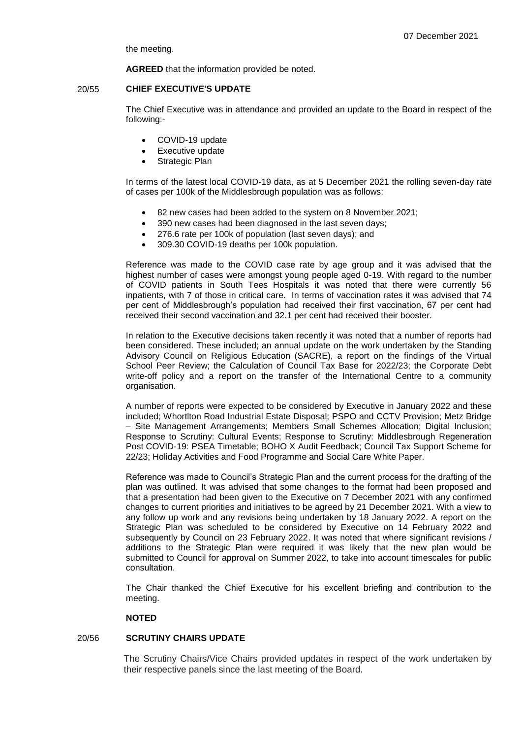the meeting.

**AGREED** that the information provided be noted.

## 20/55 **CHIEF EXECUTIVE'S UPDATE**

The Chief Executive was in attendance and provided an update to the Board in respect of the following:-

- COVID-19 update
- Executive update
- Strategic Plan

In terms of the latest local COVID-19 data, as at 5 December 2021 the rolling seven-day rate of cases per 100k of the Middlesbrough population was as follows:

- 82 new cases had been added to the system on 8 November 2021;
- 390 new cases had been diagnosed in the last seven days;
- 276.6 rate per 100k of population (last seven days); and
- 309.30 COVID-19 deaths per 100k population.

Reference was made to the COVID case rate by age group and it was advised that the highest number of cases were amongst young people aged 0-19. With regard to the number of COVID patients in South Tees Hospitals it was noted that there were currently 56 inpatients, with 7 of those in critical care. In terms of vaccination rates it was advised that 74 per cent of Middlesbrough's population had received their first vaccination, 67 per cent had received their second vaccination and 32.1 per cent had received their booster.

In relation to the Executive decisions taken recently it was noted that a number of reports had been considered. These included; an annual update on the work undertaken by the Standing Advisory Council on Religious Education (SACRE), a report on the findings of the Virtual School Peer Review; the Calculation of Council Tax Base for 2022/23; the Corporate Debt write-off policy and a report on the transfer of the International Centre to a community organisation.

A number of reports were expected to be considered by Executive in January 2022 and these included; Whortlton Road Industrial Estate Disposal; PSPO and CCTV Provision; Metz Bridge – Site Management Arrangements; Members Small Schemes Allocation; Digital Inclusion; Response to Scrutiny: Cultural Events; Response to Scrutiny: Middlesbrough Regeneration Post COVID-19: PSEA Timetable; BOHO X Audit Feedback; Council Tax Support Scheme for 22/23; Holiday Activities and Food Programme and Social Care White Paper.

Reference was made to Council's Strategic Plan and the current process for the drafting of the plan was outlined. It was advised that some changes to the format had been proposed and that a presentation had been given to the Executive on 7 December 2021 with any confirmed changes to current priorities and initiatives to be agreed by 21 December 2021. With a view to any follow up work and any revisions being undertaken by 18 January 2022. A report on the Strategic Plan was scheduled to be considered by Executive on 14 February 2022 and subsequently by Council on 23 February 2022. It was noted that where significant revisions / additions to the Strategic Plan were required it was likely that the new plan would be submitted to Council for approval on Summer 2022, to take into account timescales for public consultation.

The Chair thanked the Chief Executive for his excellent briefing and contribution to the meeting.

## **NOTED**

# 20/56 **SCRUTINY CHAIRS UPDATE**

The Scrutiny Chairs/Vice Chairs provided updates in respect of the work undertaken by their respective panels since the last meeting of the Board.